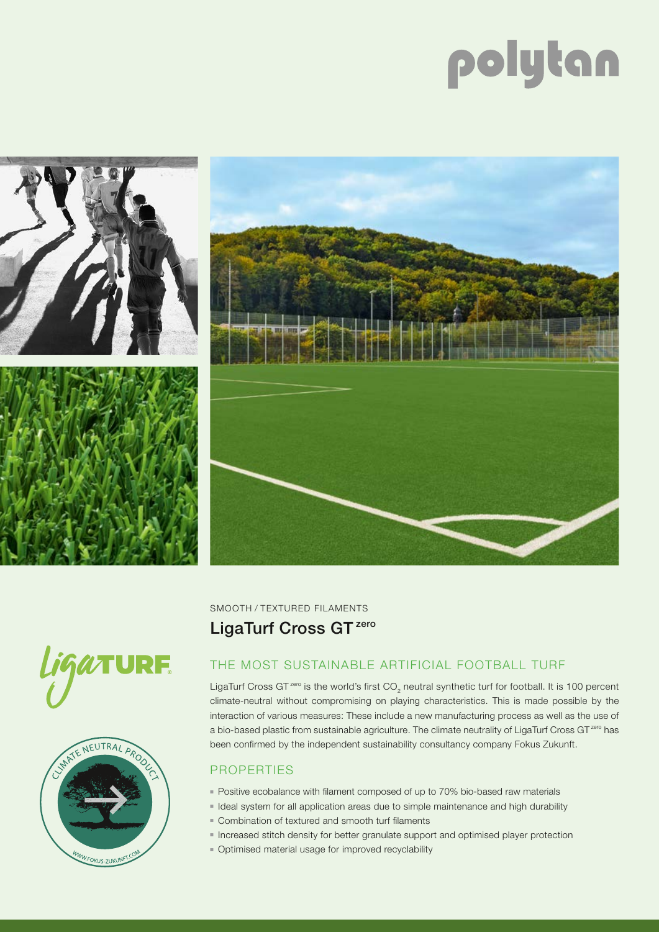# polytan









SMOOTH / TEXTURED FILAMENTS LigaTurf Cross GT<sup>zero</sup>

# THE MOST SUSTAINABLE ARTIFICIAL FOOTBALL TURF

LigaTurf Cross GT<sup>zero</sup> is the world's first CO<sub>2</sub> neutral synthetic turf for football. It is 100 percent climate-neutral without compromising on playing characteristics. This is made possible by the interaction of various measures: These include a new manufacturing process as well as the use of a bio-based plastic from sustainable agriculture. The climate neutrality of LigaTurf Cross GT<sup>zero</sup> has been confirmed by the independent sustainability consultancy company Fokus Zukunft.

## **PROPERTIES**

- Positive ecobalance with filament composed of up to 70% bio-based raw materials
- Ideal system for all application areas due to simple maintenance and high durability
- Combination of textured and smooth turf filaments
- Increased stitch density for better granulate support and optimised player protection
- Optimised material usage for improved recyclability